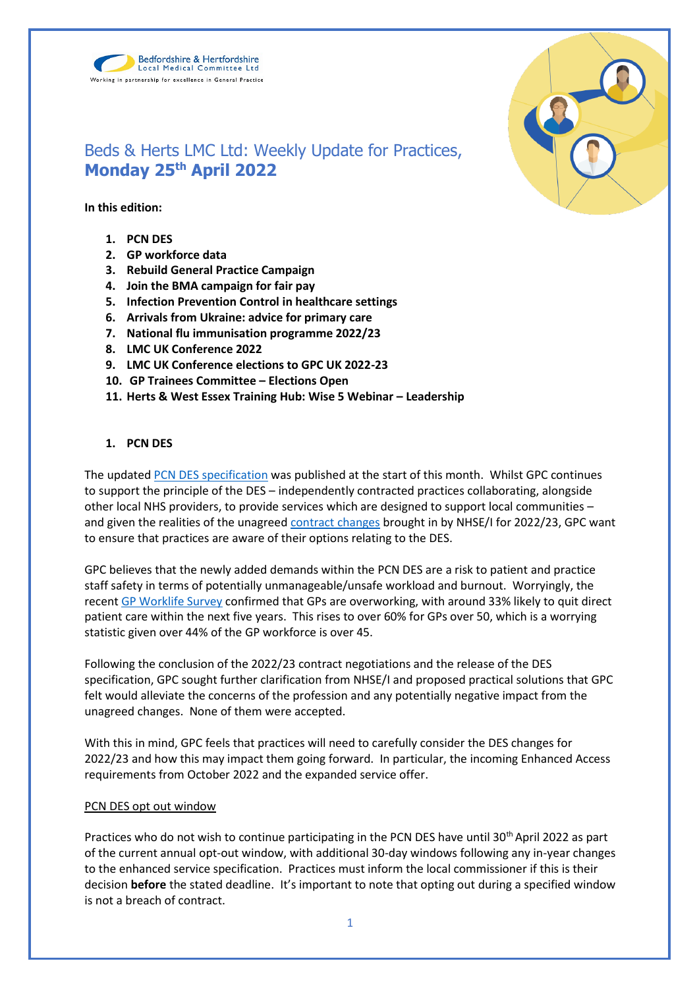



# Beds & Herts LMC Ltd: Weekly Update for Practices, **Monday 25th April 2022**

## **In this edition:**

- **1. PCN DES**
- **2. GP workforce data**
- **3. Rebuild General Practice Campaign**
- **4. Join the BMA campaign for fair pay**
- **5. Infection Prevention Control in healthcare settings**
- **6. Arrivals from Ukraine: advice for primary care**
- **7. National flu immunisation programme 2022/23**
- **8. LMC UK Conference 2022**
- **9. LMC UK Conference elections to GPC UK 2022-23**
- **10. GP Trainees Committee – Elections Open**
- 11. Herts & West Essex Training Hub: Wise 5 Webinar Leadership

## **1. PCN DES**

The updated [PCN DES specification](https://www.england.nhs.uk/gp/investment/gp-contract/network-contract-directed-enhanced-service-des/) was published at the start of this month. Whilst GPC continues to support the principle of the DES – independently contracted practices collaborating, alongside other local NHS providers, to provide services which are designed to support local communities – and given the realities of the unagree[d contract changes](https://www.bma.org.uk/pay-and-contracts/contracts/gp-contract/gp-contract-changes-england-202223) brought in by NHSE/I for 2022/23, GPC want to ensure that practices are aware of their options relating to the DES.

GPC believes that the newly added demands within the PCN DES are a risk to patient and practice staff safety in terms of potentially unmanageable/unsafe workload and burnout. Worryingly, the recen[t GP Worklife Survey](https://www.bma.org.uk/bma-media-centre/government-must-take-action-to-prevent-mass-exodus-of-gps-bma-says-in-response-to-the-eleventh-gp-worklife-survey) confirmed that GPs are overworking, with around 33% likely to quit direct patient care within the next five years. This rises to over 60% for GPs over 50, which is a worrying statistic given over 44% of the GP workforce is over 45.

Following the conclusion of the 2022/23 contract negotiations and the release of the DES specification, GPC sought further clarification from NHSE/I and proposed practical solutions that GPC felt would alleviate the concerns of the profession and any potentially negative impact from the unagreed changes. None of them were accepted.

With this in mind, GPC feels that practices will need to carefully consider the DES changes for 2022/23 and how this may impact them going forward. In particular, the incoming Enhanced Access requirements from October 2022 and the expanded service offer.

## PCN DES opt out window

Practices who do not wish to continue participating in the PCN DES have until 30<sup>th</sup> April 2022 as part of the current annual opt-out window, with additional 30-day windows following any in-year changes to the enhanced service specification. Practices must inform the local commissioner if this is their decision **before** the stated deadline. It's important to note that opting out during a specified window is not a breach of contract.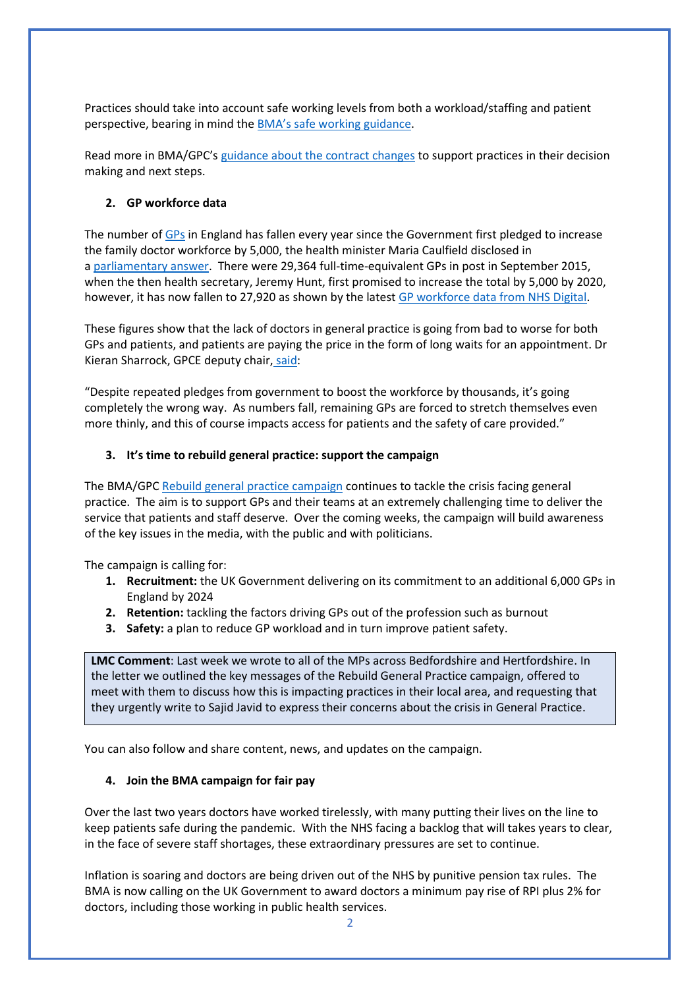Practices should take into account safe working levels from both a workload/staffing and patient perspective, bearing in mind the [BMA's safe working guidance](https://www.bma.org.uk/advice-and-support/gp-practices/managing-workload/safe-working-in-general-practice).

Read more in BMA/GPC's [guidance about the contract changes](https://www.bma.org.uk/pay-and-contracts/contracts/gp-contract/gp-contract-changes-england-202223) to support practices in their decision making and next steps.

## **2. GP workforce data**

The number of [GPs](https://www.theguardian.com/society/gps) in England has fallen every year since the Government first pledged to increase the family doctor workforce by 5,000, the health minister Maria Caulfield disclosed in a [parliamentary answer.](https://questions-statements.parliament.uk/written-questions/detail/2022-03-22/144878) There were 29,364 full-time-equivalent GPs in post in September 2015, when the then health secretary, Jeremy Hunt, first promised to increase the total by 5,000 by 2020, however, it has now fallen to 27,920 as shown by the lates[t GP workforce data from NHS Digital.](https://digital.nhs.uk/data-and-information/publications/statistical/general-and-personal-medical-services/28-february-2022)

These figures show that the lack of doctors in general practice is going from bad to worse for both GPs and patients, and patients are paying the price in the form of long waits for an appointment. Dr Kieran Sharrock, GPCE deputy chair, [said:](https://www.theguardian.com/society/2022/apr/11/gp-numbers-in-england-down-every-year-since-2015-pledge-to-raise-them)

"Despite repeated pledges from government to boost the workforce by thousands, it's going completely the wrong way. As numbers fall, remaining GPs are forced to stretch themselves even more thinly, and this of course impacts access for patients and the safety of care provided."

# **3. It's time to rebuild general practice: support the campaign**

The BMA/GPC [Rebuild general practice campaign](https://bma-mail.org.uk/JVX-7T392-G7LO7P-4RBR12-1/c.aspx) continues to tackle the crisis facing general practice. The aim is to support GPs and their teams at an extremely challenging time to deliver the service that patients and staff deserve. Over the coming weeks, the campaign will build awareness of the key issues in the media, with the public and with politicians.

The campaign is calling for:

- **1. Recruitment:** the UK Government delivering on its commitment to an additional 6,000 GPs in England by 2024
- **2. Retention:** tackling the factors driving GPs out of the profession such as burnout
- **3. Safety:** a plan to reduce GP workload and in turn improve patient safety.

**LMC Comment**: Last week we wrote to all of the MPs across Bedfordshire and Hertfordshire. In the letter we outlined the key messages of the Rebuild General Practice campaign, offered to meet with them to discuss how this is impacting practices in their local area, and requesting that they urgently write to Sajid Javid to express their concerns about the crisis in General Practice.

You can also follow and share content, news, and updates on the campaign.

## **4. Join the BMA campaign for fair pay**

Over the last two years doctors have worked tirelessly, with many putting their lives on the line to keep patients safe during the pandemic. With the NHS facing a backlog that will takes years to clear, in the face of severe staff shortages, these extraordinary pressures are set to continue.

Inflation is soaring and doctors are being driven out of the NHS by punitive pension tax rules. The BMA is now calling on the UK Government to award doctors a minimum pay rise of RPI plus 2% for doctors, including those working in public health services.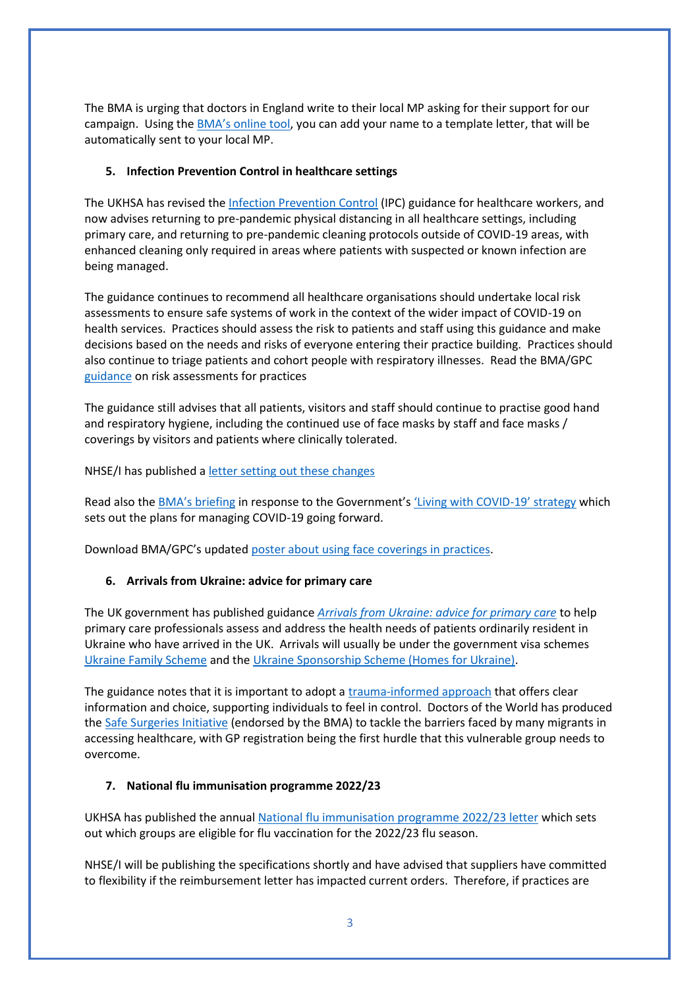The BMA is urging that doctors in England write to their local MP asking for their support for our campaign. Using the [BMA's online tool](https://e-activist.com/page/103703/action/1?ea.tracking.id=NewsletterS), you can add your name to a template letter, that will be automatically sent to your local MP.

## **5. Infection Prevention Control in healthcare settings**

The UKHSA has revised th[e Infection Prevention Control](https://www.gov.uk/government/publications/wuhan-novel-coronavirus-infection-prevention-and-control) (IPC) guidance for healthcare workers, and now advises returning to pre-pandemic physical distancing in all healthcare settings, including primary care, and returning to pre-pandemic cleaning protocols outside of COVID-19 areas, with enhanced cleaning only required in areas where patients with suspected or known infection are being managed.

The guidance continues to recommend all healthcare organisations should undertake local risk assessments to ensure safe systems of work in the context of the wider impact of COVID-19 on health services. Practices should assess the risk to patients and staff using this guidance and make decisions based on the needs and risks of everyone entering their practice building. Practices should also continue to triage patients and cohort people with respiratory illnesses. Read the BMA/GPC [guidance](https://i.emlfiles4.com/cmpdoc/3/7/7/5/2/files/868663_ppe-risk-assessment-final.pdf?utm_source=The%20British%20Medical%20Association&utm_medium=email&utm_campaign=12917145_GP%20ENEWSLETTER%2013012022&dm_t=0,0,0,0,0) on risk assessments for practices

The guidance still advises that all patients, visitors and staff should continue to practise good hand and respiratory hygiene, including the continued use of face masks by staff and face masks / coverings by visitors and patients where clinically tolerated.

NHSE/I has published [a letter setting out these changes](https://www.england.nhs.uk/publication/national-infection-prevention-and-control/)

Read also the **[BMA's briefing](https://www.bma.org.uk/advice-and-support/covid-19/what-the-bma-is-doing/bma-briefing-living-with-covid-19-response)** in response to the Government'[s 'Living with COVID](https://assets.publishing.service.gov.uk/government/uploads/system/uploads/attachment_data/file/1056229/COVID-19_Response_-_Living_with_COVID-19.pdf)-19' strategy which sets out the plans for managing COVID-19 going forward.

Download BMA/GPC's updated [poster about using face coverings in practices.](https://www.bma.org.uk/media/5321/bma-visiting-your-gp-poster-mar2022.pdf)

## **6. Arrivals from Ukraine: advice for primary care**

The UK government has published guidance *[Arrivals from Ukraine: advice for primary care](https://www.gov.uk/government/publications/arrivals-from-ukraine-advice-for-primary-care/arrivals-from-ukraine-advice-for-primary-care)* to help primary care professionals assess and address the health needs of patients ordinarily resident in Ukraine who have arrived in the UK. Arrivals will usually be under the government visa schemes [Ukraine Family Scheme](https://www.gov.uk/guidance/apply-for-a-ukraine-family-scheme-visa) and th[e Ukraine Sponsorship Scheme \(Homes for Ukraine\).](https://www.gov.uk/guidance/apply-for-a-visa-under-the-ukraine-sponsorship-scheme)

The guidance notes that it is important to adopt a [trauma-informed approach](https://www.gov.uk/guidance/assessing-new-patients-from-overseas-migrant-health-guide#trauma-informed-practice) that offers clear information and choice, supporting individuals to feel in control. Doctors of the World has produced the [Safe Surgeries Initiative](https://www.doctorsoftheworld.org.uk/what-we-stand-for/supporting-medics/safe-surgeries-initiative/) (endorsed by the BMA) to tackle the barriers faced by many migrants in accessing healthcare, with GP registration being the first hurdle that this vulnerable group needs to overcome.

## **7. National flu immunisation programme 2022/23**

UKHSA has published the annual [National flu immunisation programme 2022/23 letter](https://www.gov.uk/government/publications/national-flu-immunisation-programme-plan) which sets out which groups are eligible for flu vaccination for the 2022/23 flu season.

NHSE/I will be publishing the specifications shortly and have advised that suppliers have committed to flexibility if the reimbursement letter has impacted current orders. Therefore, if practices are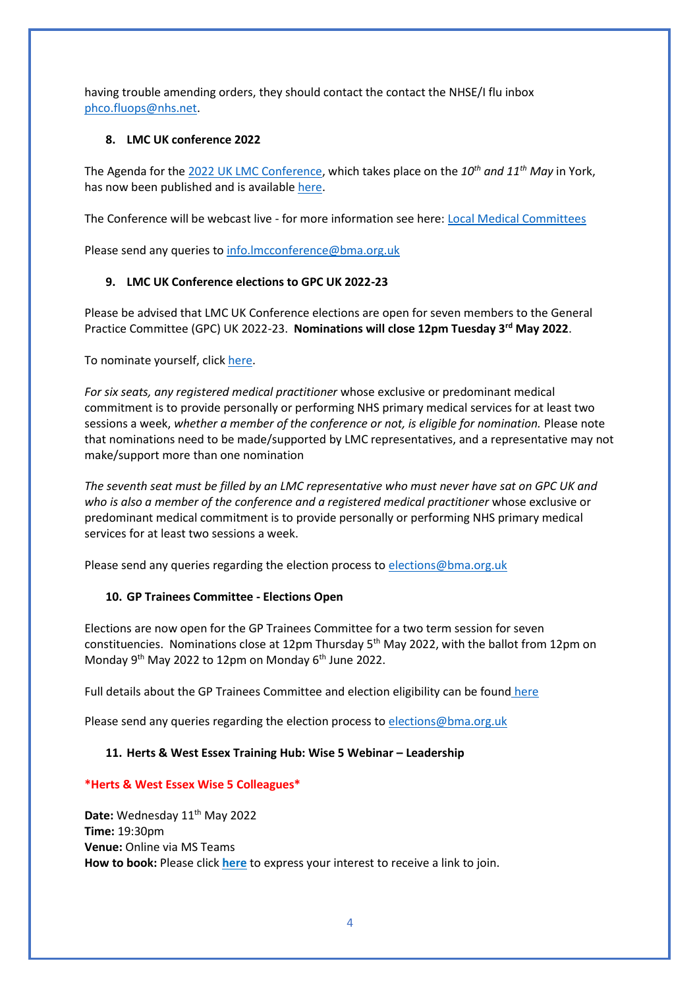having trouble amending orders, they should contact the contact the NHSE/I flu inbox [phco.fluops@nhs.net.](mailto:phco.fluops@nhs.net)

# **8. LMC UK conference 2022**

The Agenda for the [2022 UK LMC Conference,](https://www.bma.org.uk/what-we-do/local-medical-committees) which takes place on the *10th and 11th May* in York, has now been published and is availabl[e here.](https://www.bma.org.uk/media/5564/uk-lmc-conference-agenda-22-april-2022-final.pdf)

The Conference will be webcast live - for more information see here: [Local Medical Committees](https://www.bma.org.uk/what-we-do/local-medical-committees)

Please send any queries to [info.lmcconference@bma.org.uk](mailto:info.lmcconference@bma.org.uk)

# **9. LMC UK Conference elections to GPC UK 2022-23**

Please be advised that LMC UK Conference elections are open for seven members to the General Practice Committee (GPC) UK 2022-23. **Nominations will close 12pm Tuesday 3rd May 2022**.

To nominate yourself, click [here.](https://elections.bma.org.uk/LivePrimaryElection/LivePrimaryNomination)

*For six seats, any registered medical practitioner* whose exclusive or predominant medical commitment is to provide personally or performing NHS primary medical services for at least two sessions a week, *whether a member of the conference or not, is eligible for nomination.* Please note that nominations need to be made/supported by LMC representatives, and a representative may not make/support more than one nomination

*The seventh seat must be filled by an LMC representative who must never have sat on GPC UK and who is also a member of the conference and a registered medical practitioner* whose exclusive or predominant medical commitment is to provide personally or performing NHS primary medical services for at least two sessions a week.

Please send any queries regarding the election process to [elections@bma.org.uk](mailto:elections@bma.org.uk)

## **10. GP Trainees Committee - Elections Open**

Elections are now open for the GP Trainees Committee for a two term session for seven constituencies. Nominations close at 12pm Thursday  $5<sup>th</sup>$  May 2022, with the ballot from 12pm on Monday 9<sup>th</sup> May 2022 to 12pm on Monday 6<sup>th</sup> June 2022.

Full details about the GP Trainees Committee and election eligibility can be found [here](https://www.bma.org.uk/what-we-do/committees/general-practitioners-committee/gp-trainees-committee)

Please send any queries regarding the election process to [elections@bma.org.uk](mailto:elections@bma.org.uk)

## 11. **Herts & West Essex Training Hub: Wise 5 Webinar - Leadership**

**\*Herts & West Essex Wise 5 Colleagues\***

Date: Wednesday 11<sup>th</sup> May 2022 **Time:** 19:30pm **Venue:** Online via MS Teams **How to book:** Please click **[here](https://www.hwetraininghub.org.uk/contact-us)** to express your interest to receive a link to join.